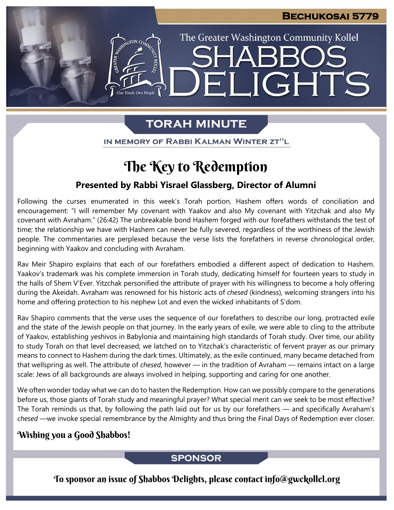# **JGHTS** FI

The Greater Washington Community Kollel

### **TORAH MINUTE**

ESTER AND CON CON

IN MEMORY OF RABBI KALMAN WINTER ZT"L

## The Key to Redemption

### **Presented by Rabbi Yisrael Glassberg, Director of Alumni**

Following the curses enumerated in this week's Torah portion, Hashem offers words of conciliation and encouragement: "I will remember My covenant with Yaakov and also My covenant with Yitzchak and also My covenant with Avraham." (26:42) The unbreakable bond Hashem forged with our forefathers withstands the test of time; the relationship we have with Hashem can never be fully severed, regardless of the worthiness of the Jewish people. The commentaries are perplexed because the verse lists the forefathers in reverse chronological order, beginning with Yaakov and concluding with Avraham.

Rav Meir Shapiro explains that each of our forefathers embodied a different aspect of dedication to Hashem. Yaakov's trademark was his complete immersion in Torah study, dedicating himself for fourteen years to study in the halls of Shem V'Ever. Yitzchak personified the attribute of prayer with his willingness to become a holy offering during the Akeidah. Avraham was renowned for his historic acts of *chesed* (kindness), welcoming strangers into his home and offering protection to his nephew Lot and even the wicked inhabitants of S'dom.

Rav Shapiro comments that the verse uses the sequence of our forefathers to describe our long, protracted exile and the state of the Jewish people on that journey. In the early years of exile, we were able to cling to the attribute of Yaakov, establishing yeshivos in Babylonia and maintaining high standards of Torah study. Over time, our ability to study Torah on that level decreased; we latched on to Yitzchak's characteristic of fervent prayer as our primary means to connect to Hashem during the dark times. Ultimately, as the exile continued, many became detached from that wellspring as well. The attribute of *chesed*, however — in the tradition of Avraham — remains intact on a large scale: Jews of all backgrounds are always involved in helping, supporting and caring for one another.

We often wonder today what we can do to hasten the Redemption. How can we possibly compare to the generations before us, those giants of Torah study and meaningful prayer? What special merit can we seek to be most effective? The Torah reminds us that, by following the path laid out for us by our forefathers — and specifically Avraham's *chesed* —we invoke special remembrance by the Almighty and thus bring the Final Days of Redemption ever closer.

### Wishing you a Good Shabbos!

### **SPONSOR**

To sponsor an issue of Shabbos Delights, please contact info@gwckollel.org